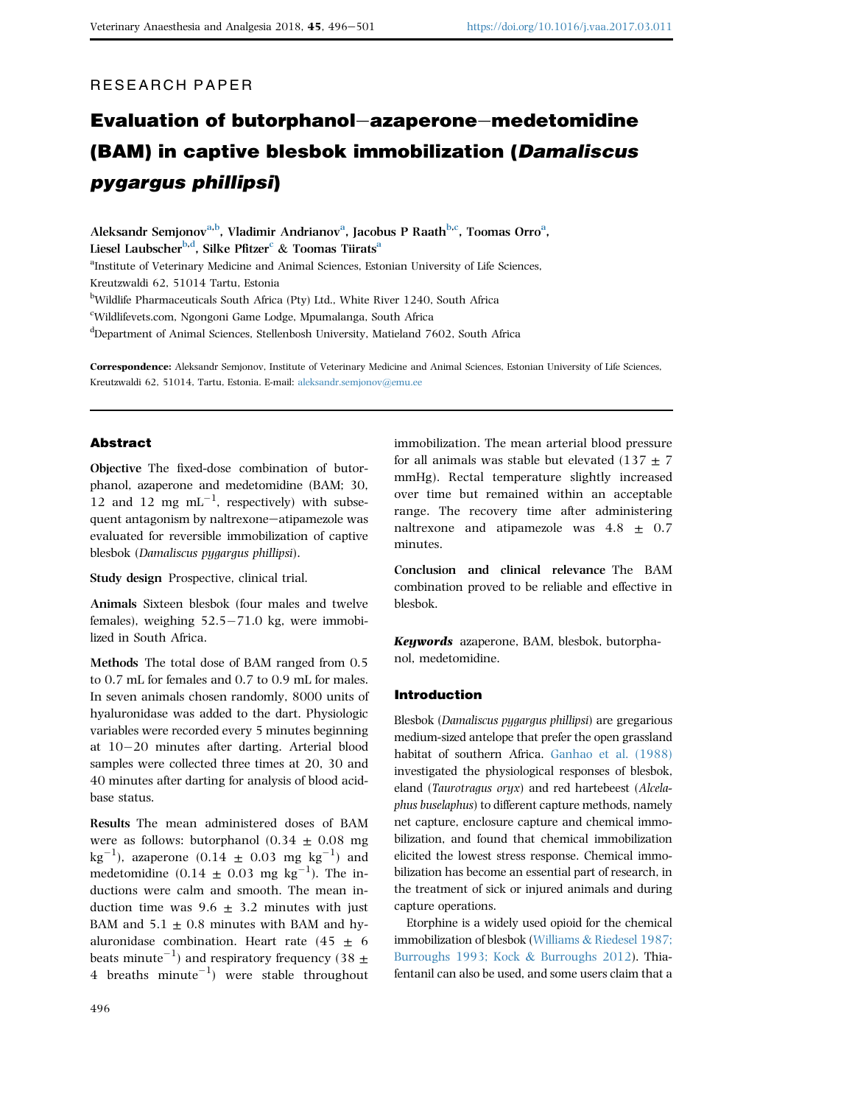# RESEARCH PAPER

# Evaluation of butorphanol-azaperone-medetomidine (BAM) in captive blesbok immobilization (Damaliscus pygargus phillipsi)

Aleksandr Semjonov<sup>a,b</sup>, Vladimir Andrianov<sup>a</sup>, Jacobus P Raath<sup>b,c</sup>, Toomas Orro<sup>a</sup>, Liesel Laubscher<sup>b,d</sup>, Silke Pfitzer<sup>c</sup> & Toomas Tiirats<sup>a</sup> <sup>a</sup>Institute of Veterinary Medicine and Animal Sciences, Estonian University of Life Sciences, Kreutzwaldi 62, 51014 Tartu, Estonia <sup>b</sup>Wildlife Pharmaceuticals South Africa (Pty) Ltd., White River 1240, South Africa c Wildlifevets.com, Ngongoni Game Lodge, Mpumalanga, South Africa

d Department of Animal Sciences, Stellenbosh University, Matieland 7602, South Africa

Correspondence: Aleksandr Semjonov, Institute of Veterinary Medicine and Animal Sciences, Estonian University of Life Sciences, Kreutzwaldi 62, 51014, Tartu, Estonia. E-mail: [aleksandr.semjonov@emu.ee](mailto:aleksandr.semjonov@emu.ee)

## Abstract

Objective The fixed-dose combination of butorphanol, azaperone and medetomidine (BAM; 30, 12 and 12 mg  $mL^{-1}$ , respectively) with subsequent antagonism by naltrexone-atipamezole was evaluated for reversible immobilization of captive blesbok (Damaliscus pygargus phillipsi).

Study design Prospective, clinical trial.

Animals Sixteen blesbok (four males and twelve females), weighing  $52.5-71.0$  kg, were immobilized in South Africa.

Methods The total dose of BAM ranged from 0.5 to 0.7 mL for females and 0.7 to 0.9 mL for males. In seven animals chosen randomly, 8000 units of hyaluronidase was added to the dart. Physiologic variables were recorded every 5 minutes beginning at  $10-20$  minutes after darting. Arterial blood samples were collected three times at 20, 30 and 40 minutes after darting for analysis of blood acidbase status.

Results The mean administered doses of BAM were as follows: butorphanol  $(0.34 \pm 0.08 \text{ mg})$  $\text{kg}^{-1}$ ), azaperone (0.14  $\pm$  0.03 mg  $\text{kg}^{-1}$ ) and medetomidine  $(0.14 \pm 0.03 \text{ mg kg}^{-1})$ . The inductions were calm and smooth. The mean induction time was  $9.6 \pm 3.2$  minutes with just BAM and  $5.1 \pm 0.8$  minutes with BAM and hyaluronidase combination. Heart rate  $(45 \pm 6)$ beats minute<sup>-1</sup>) and respiratory frequency (38  $\pm$ 4 breaths  $minute^{-1}$ ) were stable throughout

for all animals was stable but elevated (137  $\pm$  7 mmHg). Rectal temperature slightly increased over time but remained within an acceptable range. The recovery time after administering naltrexone and atipamezole was  $4.8 \pm 0.7$ minutes.

immobilization. The mean arterial blood pressure

Conclusion and clinical relevance The BAM combination proved to be reliable and effective in blesbok.

Keywords azaperone, BAM, blesbok, butorphanol, medetomidine.

#### Introduction

Blesbok (Damaliscus pygargus phillipsi) are gregarious medium-sized antelope that prefer the open grassland habitat of southern Africa. [Ganhao et al. \(1988\)](#page-5-0) investigated the physiological responses of blesbok, eland (Taurotragus oryx) and red hartebeest (Alcelaphus buselaphus) to different capture methods, namely net capture, enclosure capture and chemical immobilization, and found that chemical immobilization elicited the lowest stress response. Chemical immobilization has become an essential part of research, in the treatment of sick or injured animals and during capture operations.

Etorphine is a widely used opioid for the chemical immobilization of blesbok ([Williams](#page-5-0) & [Riedesel 1987;](#page-5-0) [Burroughs 1993; Kock](#page-5-0) & [Burroughs 2012](#page-5-0)). Thiafentanil can also be used, and some users claim that a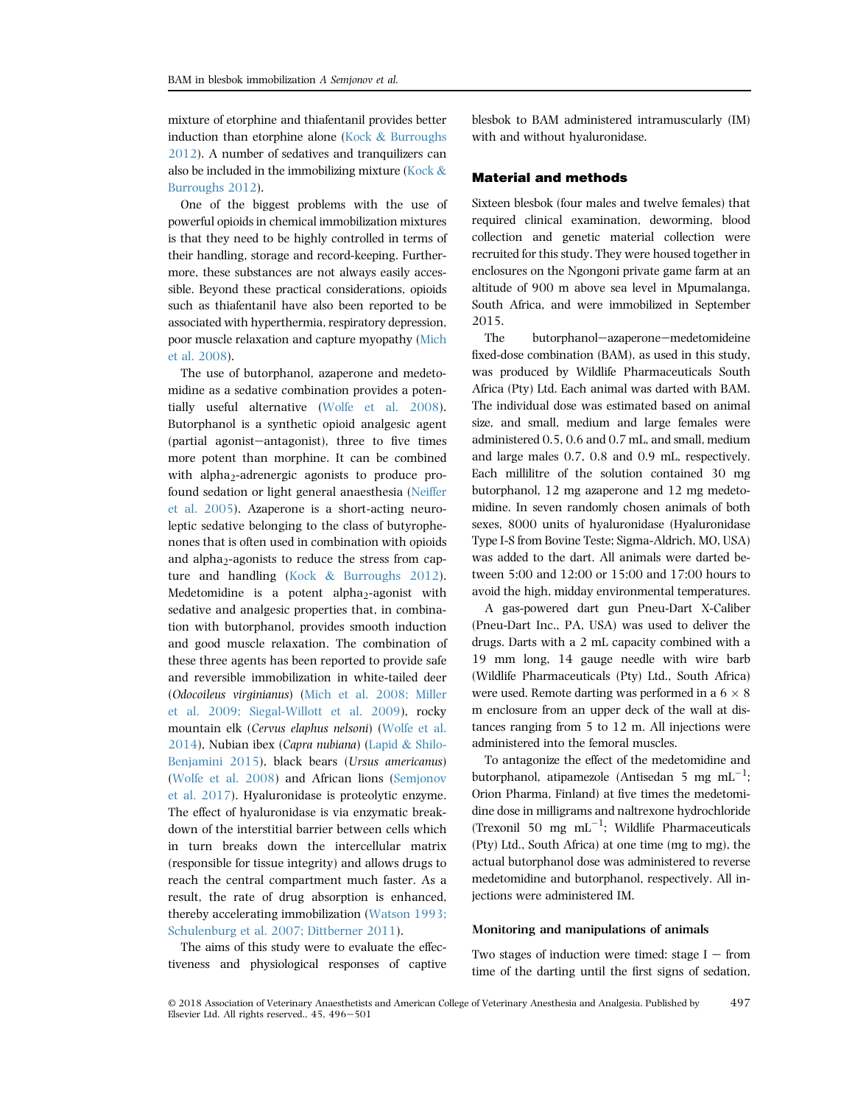mixture of etorphine and thiafentanil provides better induction than etorphine alone ([Kock](#page-5-0) & [Burroughs](#page-5-0) [2012\)](#page-5-0). A number of sedatives and tranquilizers can also be included in the immobilizing mixture ([Kock](#page-5-0) & [Burroughs 2012\)](#page-5-0).

One of the biggest problems with the use of powerful opioids in chemical immobilization mixtures is that they need to be highly controlled in terms of their handling, storage and record-keeping. Furthermore, these substances are not always easily accessible. Beyond these practical considerations, opioids such as thiafentanil have also been reported to be associated with hyperthermia, respiratory depression, poor muscle relaxation and capture myopathy ([Mich](#page-5-0) [et al. 2008\)](#page-5-0).

The use of butorphanol, azaperone and medetomidine as a sedative combination provides a potentially useful alternative [\(Wolfe et al. 2008](#page-5-0)). Butorphanol is a synthetic opioid analgesic agent  $(partial\text{ agonist}-antagonist),$  three to five times more potent than morphine. It can be combined with alpha<sub>2</sub>-adrenergic agonists to produce profound sedation or light general anaesthesia [\(Neiffer](#page-5-0) [et al. 2005](#page-5-0)). Azaperone is a short-acting neuroleptic sedative belonging to the class of butyrophenones that is often used in combination with opioids and alpha<sub>2</sub>-agonists to reduce the stress from capture and handling ([Kock](#page-5-0) & [Burroughs 2012](#page-5-0)). Medetomidine is a potent alpha<sub>2</sub>-agonist with sedative and analgesic properties that, in combination with butorphanol, provides smooth induction and good muscle relaxation. The combination of these three agents has been reported to provide safe and reversible immobilization in white-tailed deer (Odocoileus virginianus) ([Mich et al. 2008; Miller](#page-5-0) [et al. 2009; Siegal-Willott et al. 2009\)](#page-5-0), rocky mountain elk (Cervus elaphus nelsoni) ([Wolfe et al.](#page-5-0) [2014\)](#page-5-0), Nubian ibex (Capra nubiana) [\(Lapid](#page-5-0) & [Shilo-](#page-5-0)[Benjamini 2015\)](#page-5-0), black bears (Ursus americanus) ([Wolfe et al. 2008\)](#page-5-0) and African lions ([Semjonov](#page-5-0) [et al. 2017\)](#page-5-0). Hyaluronidase is proteolytic enzyme. The effect of hyaluronidase is via enzymatic breakdown of the interstitial barrier between cells which in turn breaks down the intercellular matrix (responsible for tissue integrity) and allows drugs to reach the central compartment much faster. As a result, the rate of drug absorption is enhanced, thereby accelerating immobilization [\(Watson 1993;](#page-5-0) [Schulenburg et al. 2007; Dittberner 2011\)](#page-5-0).

The aims of this study were to evaluate the effectiveness and physiological responses of captive blesbok to BAM administered intramuscularly (IM) with and without hyaluronidase.

# Material and methods

Sixteen blesbok (four males and twelve females) that required clinical examination, deworming, blood collection and genetic material collection were recruited for this study. They were housed together in enclosures on the Ngongoni private game farm at an altitude of 900 m above sea level in Mpumalanga, South Africa, and were immobilized in September 2015.

The butorphanol-azaperone-medetomideine fixed-dose combination (BAM), as used in this study, was produced by Wildlife Pharmaceuticals South Africa (Pty) Ltd. Each animal was darted with BAM. The individual dose was estimated based on animal size, and small, medium and large females were administered 0.5, 0.6 and 0.7 mL, and small, medium and large males 0.7, 0.8 and 0.9 mL, respectively. Each millilitre of the solution contained 30 mg butorphanol, 12 mg azaperone and 12 mg medetomidine. In seven randomly chosen animals of both sexes, 8000 units of hyaluronidase (Hyaluronidase Type I-S from Bovine Teste; Sigma-Aldrich, MO, USA) was added to the dart. All animals were darted between 5:00 and 12:00 or 15:00 and 17:00 hours to avoid the high, midday environmental temperatures.

A gas-powered dart gun Pneu-Dart X-Caliber (Pneu-Dart Inc., PA, USA) was used to deliver the drugs. Darts with a 2 mL capacity combined with a 19 mm long, 14 gauge needle with wire barb (Wildlife Pharmaceuticals (Pty) Ltd., South Africa) were used. Remote darting was performed in a  $6\times 8$ m enclosure from an upper deck of the wall at distances ranging from 5 to 12 m. All injections were administered into the femoral muscles.

To antagonize the effect of the medetomidine and butorphanol, atipamezole (Antisedan 5 mg  $mL^{-1}$ ; Orion Pharma, Finland) at five times the medetomidine dose in milligrams and naltrexone hydrochloride (Trexonil 50 mg  $mL^{-1}$ ; Wildlife Pharmaceuticals (Pty) Ltd., South Africa) at one time (mg to mg), the actual butorphanol dose was administered to reverse medetomidine and butorphanol, respectively. All injections were administered IM.

#### Monitoring and manipulations of animals

Two stages of induction were timed: stage  $I -$  from time of the darting until the first signs of sedation,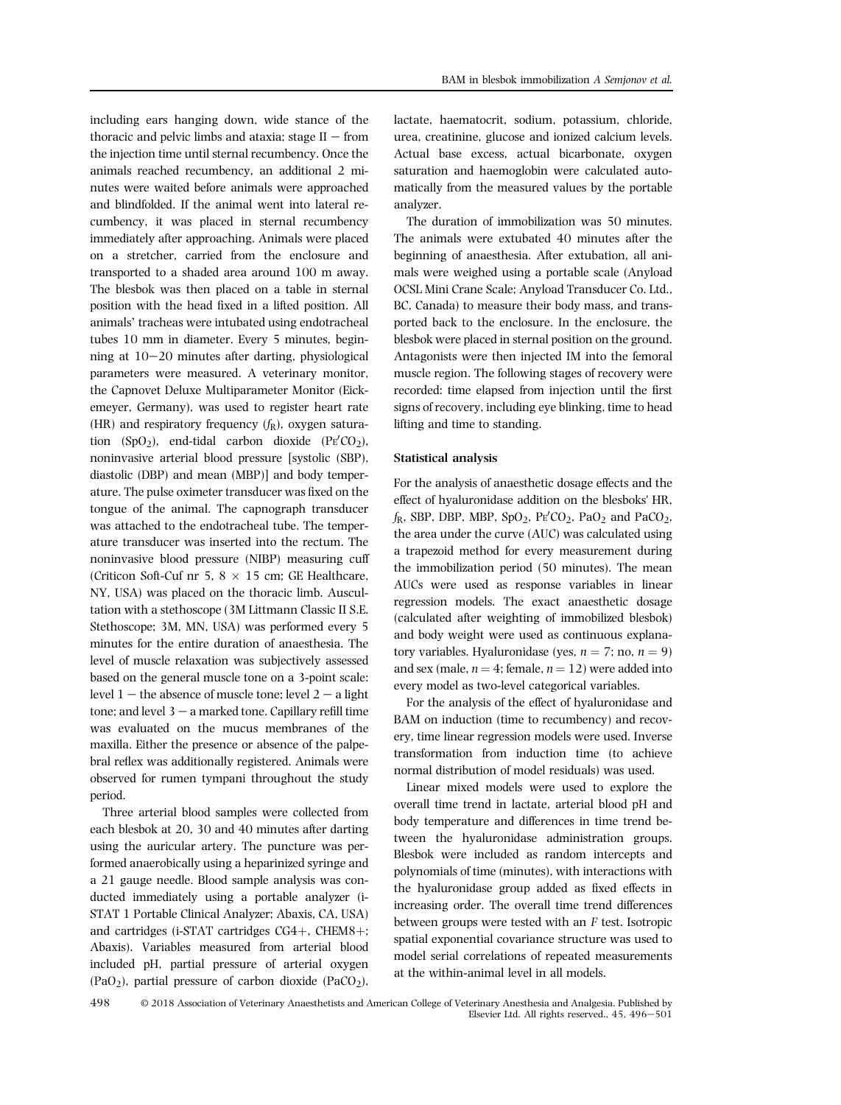including ears hanging down, wide stance of the thoracic and pelvic limbs and ataxia; stage  $II$  – from the injection time until sternal recumbency. Once the animals reached recumbency, an additional 2 minutes were waited before animals were approached and blindfolded. If the animal went into lateral recumbency, it was placed in sternal recumbency immediately after approaching. Animals were placed on a stretcher, carried from the enclosure and transported to a shaded area around 100 m away. The blesbok was then placed on a table in sternal position with the head fixed in a lifted position. All animals' tracheas were intubated using endotracheal tubes 10 mm in diameter. Every 5 minutes, beginning at  $10-20$  minutes after darting, physiological parameters were measured. A veterinary monitor, the Capnovet Deluxe Multiparameter Monitor (Eickemeyer, Germany), was used to register heart rate (HR) and respiratory frequency  $(f_R)$ , oxygen saturation  $(SpO_2)$ , end-tidal carbon dioxide  $(PE'CO_2)$ , noninvasive arterial blood pressure [systolic (SBP), diastolic (DBP) and mean (MBP)] and body temperature. The pulse oximeter transducer was fixed on the tongue of the animal. The capnograph transducer was attached to the endotracheal tube. The temperature transducer was inserted into the rectum. The noninvasive blood pressure (NIBP) measuring cuff (Criticon Soft-Cuf nr 5,  $8 \times 15$  cm; GE Healthcare, NY, USA) was placed on the thoracic limb. Auscultation with a stethoscope (3M Littmann Classic II S.E. Stethoscope; 3M, MN, USA) was performed every 5 minutes for the entire duration of anaesthesia. The level of muscle relaxation was subjectively assessed based on the general muscle tone on a 3-point scale: level  $1$  – the absence of muscle tone; level  $2$  – a light tone; and level  $3 - a$  marked tone. Capillary refill time was evaluated on the mucus membranes of the maxilla. Either the presence or absence of the palpebral reflex was additionally registered. Animals were observed for rumen tympani throughout the study period.

Three arterial blood samples were collected from each blesbok at 20, 30 and 40 minutes after darting using the auricular artery. The puncture was performed anaerobically using a heparinized syringe and a 21 gauge needle. Blood sample analysis was conducted immediately using a portable analyzer (i-STAT 1 Portable Clinical Analyzer; Abaxis, CA, USA) and cartridges (i-STAT cartridges  $CG4+$ , CHEM8+; Abaxis). Variables measured from arterial blood included pH, partial pressure of arterial oxygen  $(PaO<sub>2</sub>)$ , partial pressure of carbon dioxide  $(PaCO<sub>2</sub>)$ ,

lactate, haematocrit, sodium, potassium, chloride, urea, creatinine, glucose and ionized calcium levels. Actual base excess, actual bicarbonate, oxygen saturation and haemoglobin were calculated automatically from the measured values by the portable analyzer.

The duration of immobilization was 50 minutes. The animals were extubated 40 minutes after the beginning of anaesthesia. After extubation, all animals were weighed using a portable scale (Anyload OCSL Mini Crane Scale; Anyload Transducer Co. Ltd., BC, Canada) to measure their body mass, and transported back to the enclosure. In the enclosure, the blesbok were placed in sternal position on the ground. Antagonists were then injected IM into the femoral muscle region. The following stages of recovery were recorded: time elapsed from injection until the first signs of recovery, including eye blinking, time to head lifting and time to standing.

#### Statistical analysis

For the analysis of anaesthetic dosage effects and the effect of hyaluronidase addition on the blesboks' HR,  $f_{\rm R}$ , SBP, DBP, MBP, SpO<sub>2</sub>, PE<sup> $\rm CO_2$ </sup>, PaO<sub>2</sub> and PaCO<sub>2</sub>, the area under the curve (AUC) was calculated using a trapezoid method for every measurement during the immobilization period (50 minutes). The mean AUCs were used as response variables in linear regression models. The exact anaesthetic dosage (calculated after weighting of immobilized blesbok) and body weight were used as continuous explanatory variables. Hyaluronidase (yes,  $n = 7$ ; no,  $n = 9$ ) and sex (male,  $n = 4$ ; female,  $n = 12$ ) were added into every model as two-level categorical variables.

For the analysis of the effect of hyaluronidase and BAM on induction (time to recumbency) and recovery, time linear regression models were used. Inverse transformation from induction time (to achieve normal distribution of model residuals) was used.

Linear mixed models were used to explore the overall time trend in lactate, arterial blood pH and body temperature and differences in time trend between the hyaluronidase administration groups. Blesbok were included as random intercepts and polynomials of time (minutes), with interactions with the hyaluronidase group added as fixed effects in increasing order. The overall time trend differences between groups were tested with an F test. Isotropic spatial exponential covariance structure was used to model serial correlations of repeated measurements at the within-animal level in all models.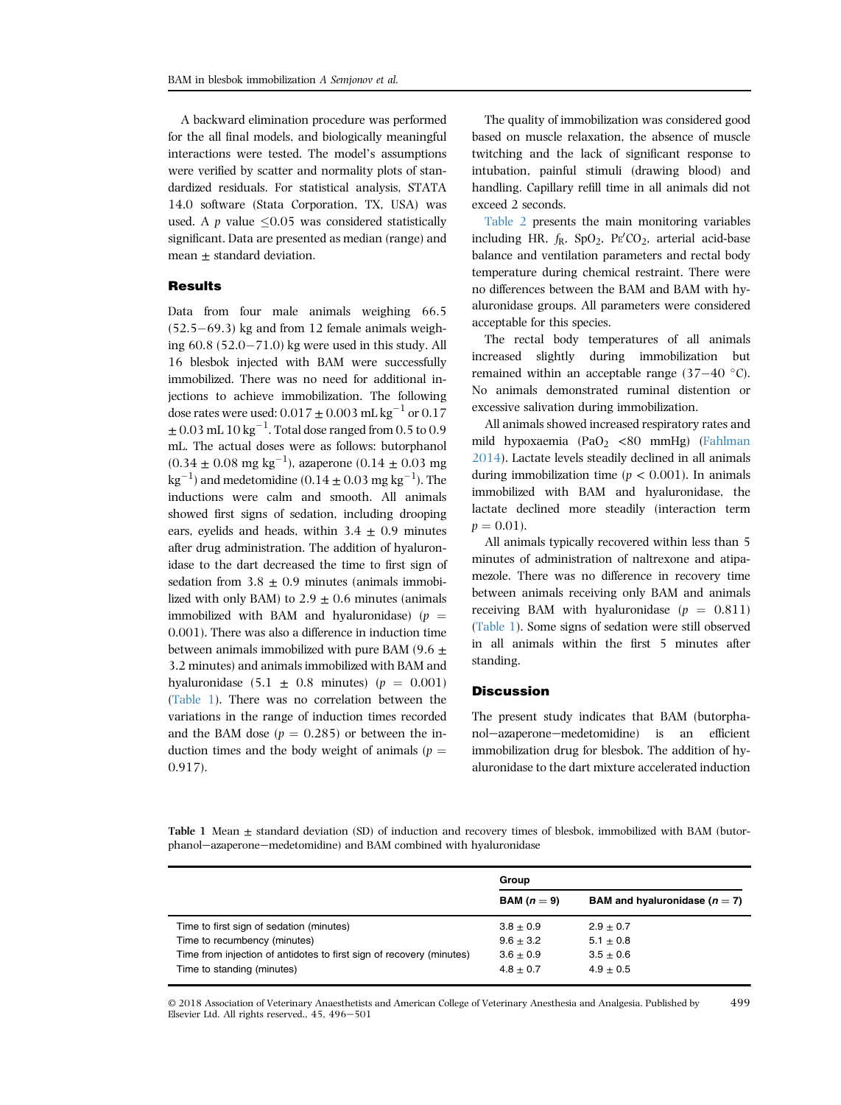A backward elimination procedure was performed for the all final models, and biologically meaningful interactions were tested. The model's assumptions were verified by scatter and normality plots of standardized residuals. For statistical analysis, STATA 14.0 software (Stata Corporation, TX, USA) was used. A p value  $\leq 0.05$  was considered statistically significant. Data are presented as median (range) and mean  $\pm$  standard deviation.

#### **Results**

Data from four male animals weighing 66.5  $(52.5-69.3)$  kg and from 12 female animals weighing  $60.8$   $(52.0 - 71.0)$  kg were used in this study. All 16 blesbok injected with BAM were successfully immobilized. There was no need for additional injections to achieve immobilization. The following dose rates were used:  $0.017 \pm 0.003$  mL kg<sup>-1</sup> or  $0.17$  $\pm$  0.03 mL 10 kg $^{-1}$ . Total dose ranged from 0.5 to 0.9 mL. The actual doses were as follows: butorphanol  $(0.34 \pm 0.08 \text{ mg kg}^{-1})$ , azaperone  $(0.14 \pm 0.03 \text{ mg})$  $\rm kg^{-1})$  and medetomidine (0.14  $\pm$  0.03 mg  $\rm kg^{-1}$ ). The inductions were calm and smooth. All animals showed first signs of sedation, including drooping ears, eyelids and heads, within  $3.4 \pm 0.9$  minutes after drug administration. The addition of hyaluronidase to the dart decreased the time to first sign of sedation from  $3.8 \pm 0.9$  minutes (animals immobilized with only BAM) to  $2.9 \pm 0.6$  minutes (animals immobilized with BAM and hyaluronidase) ( $p =$ 0.001). There was also a difference in induction time between animals immobilized with pure BAM (9.6  $\pm$ 3.2 minutes) and animals immobilized with BAM and hyaluronidase  $(5.1 \pm 0.8 \text{ minutes})$   $(p = 0.001)$ (Table 1). There was no correlation between the variations in the range of induction times recorded and the BAM dose ( $p = 0.285$ ) or between the induction times and the body weight of animals ( $p =$ 0.917).

The quality of immobilization was considered good based on muscle relaxation, the absence of muscle twitching and the lack of significant response to intubation, painful stimuli (drawing blood) and handling. Capillary refill time in all animals did not exceed 2 seconds.

[Table 2](#page-4-0) presents the main monitoring variables including HR,  $f_{\rm R}$ , SpO<sub>2</sub>, PE<sup> $\prime$ </sup>CO<sub>2</sub>, arterial acid-base balance and ventilation parameters and rectal body temperature during chemical restraint. There were no differences between the BAM and BAM with hyaluronidase groups. All parameters were considered acceptable for this species.

The rectal body temperatures of all animals increased slightly during immobilization but remained within an acceptable range  $(37-40 \degree C)$ . No animals demonstrated ruminal distention or excessive salivation during immobilization.

All animals showed increased respiratory rates and mild hypoxaemia (PaO<sub>2</sub> <80 mmHg) [\(Fahlman](#page-5-0) [2014\)](#page-5-0). Lactate levels steadily declined in all animals during immobilization time ( $p < 0.001$ ). In animals immobilized with BAM and hyaluronidase, the lactate declined more steadily (interaction term  $p = 0.01$ .

All animals typically recovered within less than 5 minutes of administration of naltrexone and atipamezole. There was no difference in recovery time between animals receiving only BAM and animals receiving BAM with hyaluronidase  $(p = 0.811)$ (Table 1). Some signs of sedation were still observed in all animals within the first 5 minutes after standing.

### **Discussion**

The present study indicates that BAM (butorphanol-azaperone-medetomidine) is an efficient immobilization drug for blesbok. The addition of hyaluronidase to the dart mixture accelerated induction

Table 1 Mean  $\pm$  standard deviation (SD) of induction and recovery times of blesbok, immobilized with BAM (butorphanol-azaperone-medetomidine) and BAM combined with hyaluronidase

|                                                                      | Group         |                                   |  |
|----------------------------------------------------------------------|---------------|-----------------------------------|--|
|                                                                      | BAM $(n=9)$   | BAM and hyaluronidase ( $n = 7$ ) |  |
| Time to first sign of sedation (minutes)                             | $3.8 \pm 0.9$ | $2.9 \pm 0.7$                     |  |
| Time to recumbency (minutes)                                         | $9.6 + 3.2$   | $5.1 \pm 0.8$                     |  |
| Time from injection of antidotes to first sign of recovery (minutes) | $3.6 + 0.9$   | $3.5 \pm 0.6$                     |  |
| Time to standing (minutes)                                           | $4.8 + 0.7$   | $4.9 + 0.5$                       |  |

© 2018 Association of Veterinary Anaesthetists and American College of Veterinary Anesthesia and Analgesia. Published by Elsevier Ltd. All rights reserved.,  $45, 496 - 501$ 499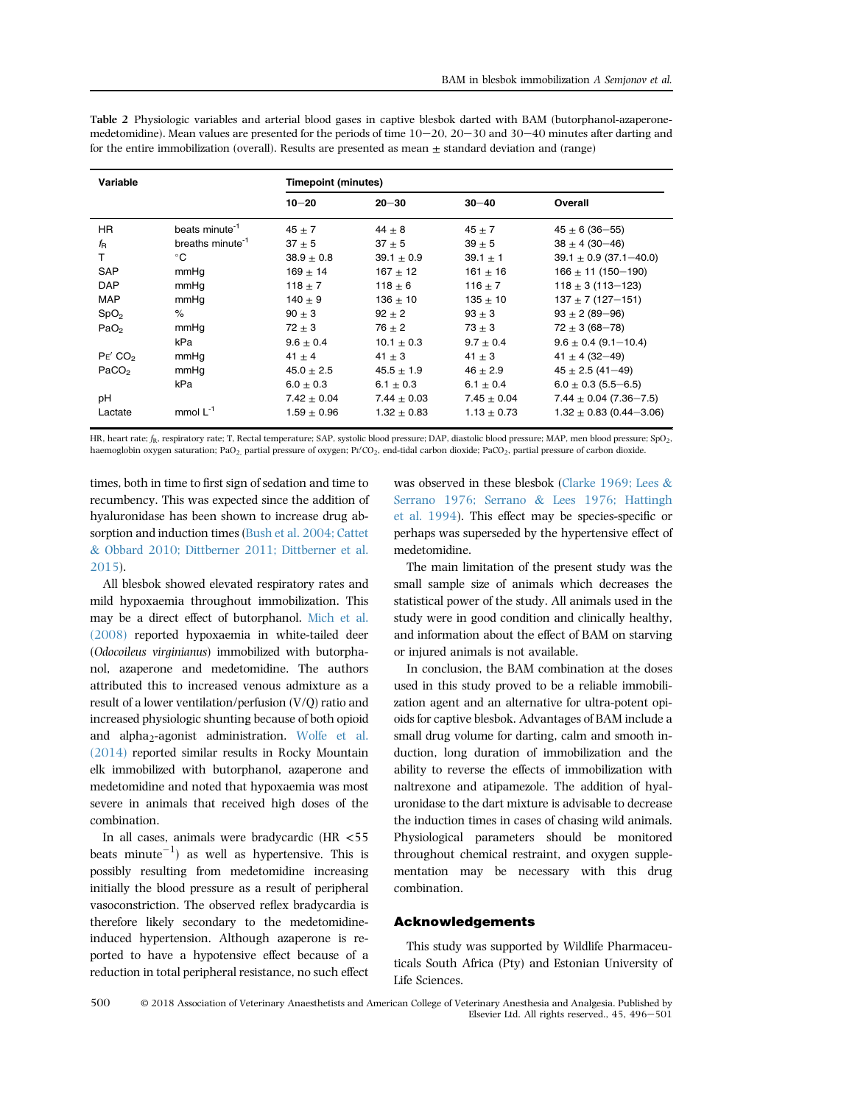| Variable            |                              | <b>Timepoint (minutes)</b> |                 |                 |                             |  |
|---------------------|------------------------------|----------------------------|-----------------|-----------------|-----------------------------|--|
|                     |                              | $10 - 20$                  | $20 - 30$       | $30 - 40$       | Overall                     |  |
| <b>HR</b>           | beats minute <sup>-1</sup>   | $45 \pm 7$                 | $44 \pm 8$      | $45 \pm 7$      | $45 \pm 6$ (36-55)          |  |
| $f_{\mathsf{R}}$    | breaths minute <sup>-1</sup> | $37 + 5$                   | $37 + 5$        | $39 + 5$        | $38 \pm 4 (30 - 46)$        |  |
| т                   | °C                           | $38.9 \pm 0.8$             | $39.1 \pm 0.9$  | $39.1 \pm 1$    | $39.1 \pm 0.9$ (37.1-40.0)  |  |
| <b>SAP</b>          | mmHq                         | $169 \pm 14$               | $167 + 12$      | $161 \pm 16$    | $166 \pm 11 (150 - 190)$    |  |
| <b>DAP</b>          | mmHq                         | 118 $\pm$ 7                | $118 \pm 6$     | 116 $\pm$ 7     | $118 \pm 3(113 - 123)$      |  |
| <b>MAP</b>          | mmHq                         | $140 + 9$                  | $136 + 10$      | $135 + 10$      | $137 \pm 7$ (127-151)       |  |
| SpO <sub>2</sub>    | $\%$                         | $90 + 3$                   | $92 \pm 2$      | $93 + 3$        | $93 \pm 2 (89 - 96)$        |  |
| PaO <sub>2</sub>    | mmHq                         | $72 + 3$                   | $76 + 2$        | $73 \pm 3$      | $72 \pm 3 (68 - 78)$        |  |
|                     | kPa                          | $9.6 \pm 0.4$              | $10.1 + 0.3$    | $9.7 + 0.4$     | $9.6 \pm 0.4$ (9.1-10.4)    |  |
| PE' CO <sub>2</sub> | mmHq                         | $41 \pm 4$                 | $41 \pm 3$      | $41 \pm 3$      | 41 $\pm$ 4 (32-49)          |  |
| PaCO <sub>2</sub>   | mmHq                         | $45.0 \pm 2.5$             | $45.5 \pm 1.9$  | $46 \pm 2.9$    | $45 \pm 2.5$ (41-49)        |  |
|                     | kPa                          | $6.0 \pm 0.3$              | $6.1 \pm 0.3$   | $6.1 \pm 0.4$   | $6.0 \pm 0.3$ (5.5–6.5)     |  |
| рH                  |                              | $7.42 \pm 0.04$            | $7.44 + 0.03$   | $7.45 \pm 0.04$ | $7.44 \pm 0.04$ (7.36-7.5)  |  |
| Lactate             | mmol $L^{-1}$                | $1.59 \pm 0.96$            | $1.32 \pm 0.83$ | $1.13 \pm 0.73$ | $1.32 \pm 0.83$ (0.44-3.06) |  |

<span id="page-4-0"></span>Table 2 Physiologic variables and arterial blood gases in captive blesbok darted with BAM (butorphanol-azaperonemedetomidine). Mean values are presented for the periods of time  $10-20$ ,  $20-30$  and  $30-40$  minutes after darting and for the entire immobilization (overall). Results are presented as mean + standard deviation and (range)

HR, heart rate;  $f_R$ , respiratory rate; T, Rectal temperature; SAP, systolic blood pressure; DAP, diastolic blood pressure; MAP, men blood pressure; SpO<sub>2</sub>, haemoglobin oxygen saturation; PaO<sub>2,</sub> partial pressure of oxygen; Pg'CO<sub>2</sub>, end-tidal carbon dioxide; PaCO<sub>2</sub>, partial pressure of carbon dioxide.

times, both in time to first sign of sedation and time to recumbency. This was expected since the addition of hyaluronidase has been shown to increase drug absorption and induction times [\(Bush et al. 2004; Cattet](#page-5-0) & [Obbard 2010; Dittberner 2011; Dittberner et al.](#page-5-0) [2015](#page-5-0)).

All blesbok showed elevated respiratory rates and mild hypoxaemia throughout immobilization. This may be a direct effect of butorphanol. [Mich et al.](#page-5-0) [\(2008\)](#page-5-0) reported hypoxaemia in white-tailed deer (Odocoileus virginianus) immobilized with butorphanol, azaperone and medetomidine. The authors attributed this to increased venous admixture as a result of a lower ventilation/perfusion (V/Q) ratio and increased physiologic shunting because of both opioid and alpha<sub>2</sub>-agonist administration. [Wolfe et al.](#page-5-0) [\(2014\)](#page-5-0) reported similar results in Rocky Mountain elk immobilized with butorphanol, azaperone and medetomidine and noted that hypoxaemia was most severe in animals that received high doses of the combination.

In all cases, animals were bradycardic (HR <55 beats minute $^{-1}$ ) as well as hypertensive. This is possibly resulting from medetomidine increasing initially the blood pressure as a result of peripheral vasoconstriction. The observed reflex bradycardia is therefore likely secondary to the medetomidineinduced hypertension. Although azaperone is reported to have a hypotensive effect because of a reduction in total peripheral resistance, no such effect

was observed in these blesbok [\(Clarke 1969; Lees](#page-5-0) & [Serrano 1976; Serrano](#page-5-0) & [Lees 1976; Hattingh](#page-5-0) [et al. 1994\)](#page-5-0). This effect may be species-specific or perhaps was superseded by the hypertensive effect of medetomidine.

The main limitation of the present study was the small sample size of animals which decreases the statistical power of the study. All animals used in the study were in good condition and clinically healthy, and information about the effect of BAM on starving or injured animals is not available.

In conclusion, the BAM combination at the doses used in this study proved to be a reliable immobilization agent and an alternative for ultra-potent opioids for captive blesbok. Advantages of BAM include a small drug volume for darting, calm and smooth induction, long duration of immobilization and the ability to reverse the effects of immobilization with naltrexone and atipamezole. The addition of hyaluronidase to the dart mixture is advisable to decrease the induction times in cases of chasing wild animals. Physiological parameters should be monitored throughout chemical restraint, and oxygen supplementation may be necessary with this drug combination.

#### Acknowledgements

This study was supported by Wildlife Pharmaceuticals South Africa (Pty) and Estonian University of Life Sciences.